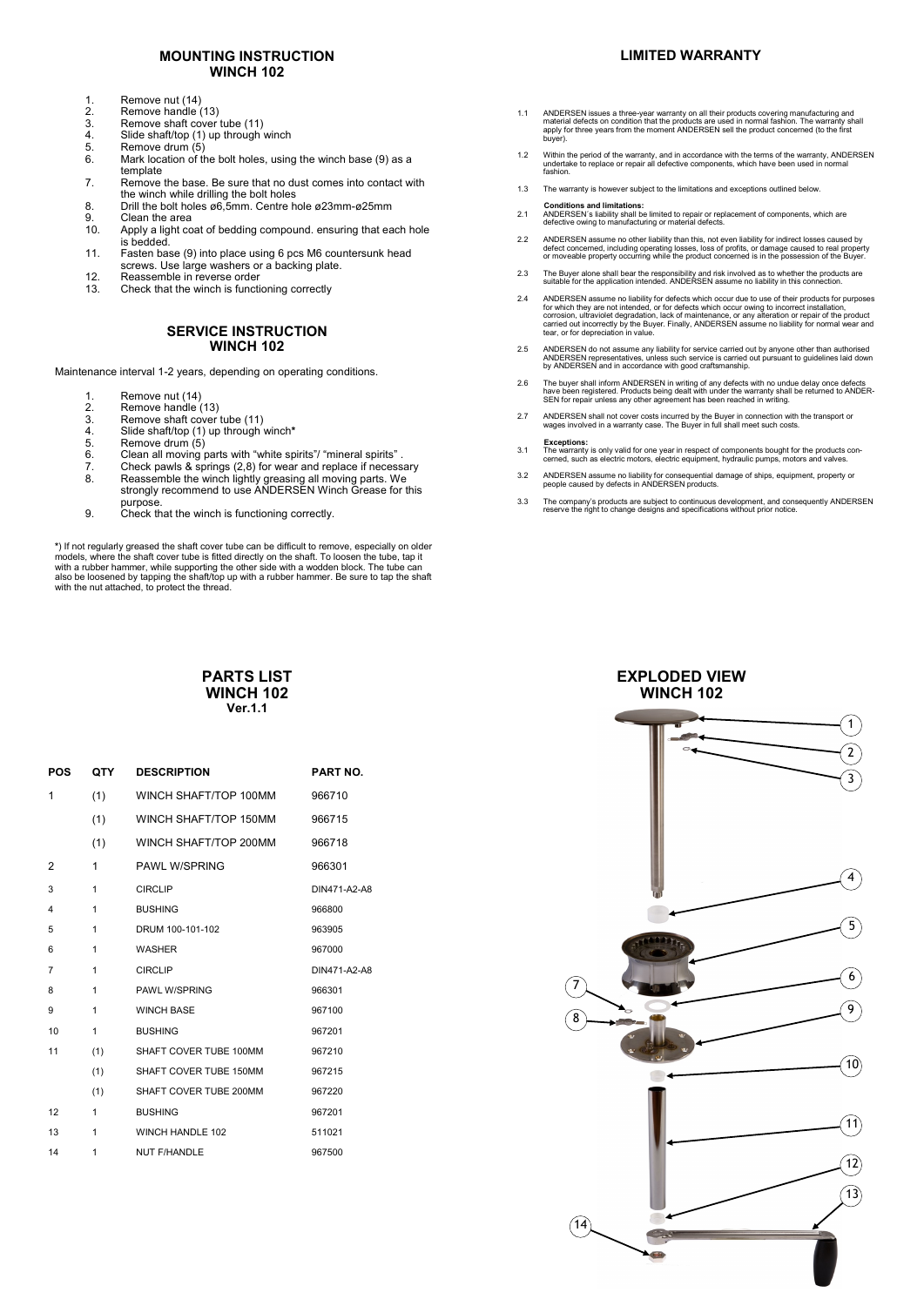### **MOUNTING INSTRUCTION WINCH 102**

- 1. Remove nut (14)<br>2 Remove handle (
- 2. Remove handle (13)<br>3. Remove shaft cover
- 3. Remove shaft cover tube (11)<br>4. Slide shaft/top (1) up through
- 4. Slide shaft/top (1) up through winch<br>5. Remove drum (5)
- 5. Remove drum (5)<br>6. Mark location of t Mark location of the bolt holes, using the winch base (9) as a
- template 7. Remove the base. Be sure that no dust comes into contact with
- the winch while drilling the bolt holes 8. Drill the bolt holes ø6,5mm. Centre hole ø23mm-ø25mm<br>9. Clean the area
- 9. Clean the area<br>10. Apply a light co
- 10. Apply a light coat of bedding compound. ensuring that each hole is bedded.
- 11. Fasten base (9) into place using 6 pcs M6 countersunk head screws. Use large washers or a backing plate.
- 12. Reassemble in reverse order 13. Check that the winch is functioning correctly

#### **SERVICE INSTRUCTION WINCH 102**

Maintenance interval 1-2 years, depending on operating conditions.

- 
- 1. Remove nut (14)<br>2. Remove handle (<br>3. Remove shaft co Remove handle (13)
- 3. Remove shaft cover tube (11)<br>4. Slide shaft/top (1) up through
- 4. Slide shaft/top (1) up through winch**\***
- 5. Remove drum  $(5)$ <br>6. Clean all moving i
- 6. Clean all moving parts with "white spirits"/ "mineral spirits".<br>6. Check pawls & springs (2.8) for wear and replace if necess
- 7. Check pawls & springs (2,8) for wear and replace if necessary 8. Reassemble the winch lightly greasing all moving parts. We strongly recommend to use ANDERSEN Winch Grease for this
- purpose. 9. Check that the winch is functioning correctly.

\*) If not regularly greased the shaft cover tube can be difficult to remove, especially on older models, where the shaft cover tube is fitted directly on the shaft. To loosen the tube, tap it with a rubber hammer, while su

#### **PARTS LIST WINCH 102 Ver.1.1**

| <b>POS</b>              | QTY | <b>DESCRIPTION</b>     | <b>PART NO.</b> |
|-------------------------|-----|------------------------|-----------------|
| 1                       | (1) | WINCH SHAFT/TOP 100MM  | 966710          |
|                         | (1) | WINCH SHAFT/TOP 150MM  | 966715          |
|                         | (1) | WINCH SHAFT/TOP 200MM  | 966718          |
| 2                       | 1   | <b>PAWL W/SPRING</b>   | 966301          |
| 3                       | 1   | <b>CIRCLIP</b>         | DIN471-A2-A8    |
| $\overline{\mathbf{4}}$ | 1   | <b>BUSHING</b>         | 966800          |
| 5                       | 1   | DRUM 100-101-102       | 963905          |
| 6                       | 1   | <b>WASHER</b>          | 967000          |
| $\overline{7}$          | 1   | <b>CIRCLIP</b>         | DIN471-A2-A8    |
| 8                       | 1   | PAWL W/SPRING          | 966301          |
| 9                       | 1   | <b>WINCH BASE</b>      | 967100          |
| 10                      | 1   | <b>BUSHING</b>         | 967201          |
| 11                      | (1) | SHAFT COVER TUBE 100MM | 967210          |
|                         | (1) | SHAFT COVER TUBE 150MM | 967215          |
|                         | (1) | SHAFT COVER TUBE 200MM | 967220          |
| 12                      | 1   | <b>BUSHING</b>         | 967201          |
| 13                      | 1   | WINCH HANDLE 102       | 511021          |
| 14                      | 1   | <b>NUT F/HANDLE</b>    | 967500          |

### **LIMITED WARRANTY**

- 1.1 ANDERSEN issues a three-year warranty on all their products covering manufacturing and<br>material defects on condition that the products are used in normal fashion. The warranty shall<br>apply for three years from the momen
- 1.2 Within the period of the warranty, and in accordance with the terms of the warranty, ANDERSEN undertake to replace or repair all defective components, which have been used in normal fashion.
- 1.3 The warranty is however subject to the limitations and exceptions outlined below.
- **Conditions and limitations:** 2.1 ANDERSEN´s liability shall be limited to repair or replacement of components, which are defective owing to manufacturing or material defects.
- 2.2 ANDERSEN assume no other liability than this, not even liability for indirect losses caused by<br>defect concerned, including operating losses, loss of profits, or damage caused to real property<br>or moveable property occur
- 2.3 The Buyer alone shall bear the responsibility and risk involved as to whether the products are suitable for the application intended. ANDERSEN assume no liability in this connection.
- 2.4 ANDERSEN assume no liability for defects which occur due to use of their products for purposes for which they are not intended, or for defects which occur owing to incorrect installation,<br>corrosion, ultraviolet degradation, lack of maintenance, or any alteration or repair of the product<br>carried out incorrectly by th
- 2.5 ANDERSEN do not assume any liability for service carried out by anyone other than authorised<br>ANDERSEN representatives, unless such service is carried out pursuant to guidelines laid down<br>by ANDERSEN and in accordance w
- 2.6 The buyer shall inform ANDERSEN in writing of any defects with no undue delay once defects<br>have been registered. Products being dealt with under the warranty shall be returned to ANDER<br>SEN for repair unless any other a
- 2.7 ANDERSEN shall not cover costs incurred by the Buyer in connection with the transport or wages involved in a warranty case. The Buyer in full shall meet such costs.
- **Exceptions:** 3.1 The warranty is only valid for one year in respect of components bought for the products con-cerned, such as electric motors, electric equipment, hydraulic pumps, motors and valves.
- 3.2 ANDERSEN assume no liability for consequential damage of ships, equipment, property or people caused by defects in ANDERSEN products.
- 3.3 The company's products are subject to continuous development, and consequently ANDERSEN reserve the right to change designs and specifications without prior notice.

#### **EXPLODED VIEW WINCH 102**